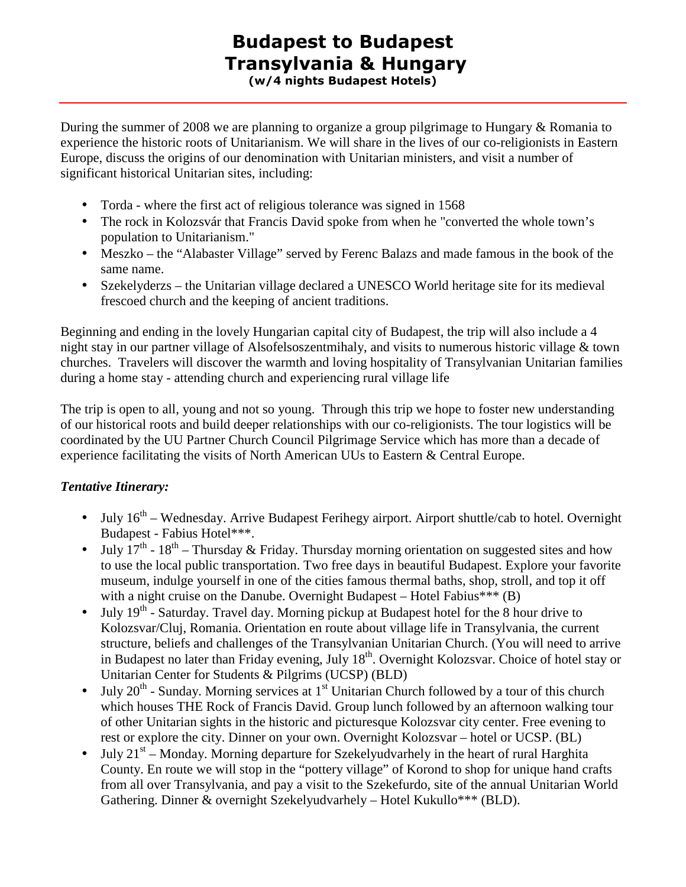## Budapest to Budapest Transylvania & Hungary (w/4 nights Budapest Hotels)

During the summer of 2008 we are planning to organize a group pilgrimage to Hungary & Romania to experience the historic roots of Unitarianism. We will share in the lives of our co-religionists in Eastern Europe, discuss the origins of our denomination with Unitarian ministers, and visit a number of significant historical Unitarian sites, including:

- Torda where the first act of religious tolerance was signed in 1568
- The rock in Kolozsvár that Francis David spoke from when he "converted the whole town's population to Unitarianism."
- Meszko the "Alabaster Village" served by Ferenc Balazs and made famous in the book of the same name.
- Szekelyderzs the Unitarian village declared a UNESCO World heritage site for its medieval frescoed church and the keeping of ancient traditions.

Beginning and ending in the lovely Hungarian capital city of Budapest, the trip will also include a 4 night stay in our partner village of Alsofelsoszentmihaly, and visits to numerous historic village & town churches. Travelers will discover the warmth and loving hospitality of Transylvanian Unitarian families during a home stay - attending church and experiencing rural village life

The trip is open to all, young and not so young. Through this trip we hope to foster new understanding of our historical roots and build deeper relationships with our co-religionists. The tour logistics will be coordinated by the UU Partner Church Council Pilgrimage Service which has more than a decade of experience facilitating the visits of North American UUs to Eastern & Central Europe.

## *Tentative Itinerary:*

- July  $16<sup>th</sup>$  Wednesday. Arrive Budapest Ferihegy airport. Airport shuttle/cab to hotel. Overnight Budapest - Fabius Hotel\*\*\*.
- July  $17<sup>th</sup>$  18<sup>th</sup> Thursday & Friday. Thursday morning orientation on suggested sites and how to use the local public transportation. Two free days in beautiful Budapest. Explore your favorite museum, indulge yourself in one of the cities famous thermal baths, shop, stroll, and top it off with a night cruise on the Danube. Overnight Budapest – Hotel Fabius\*\*\*  $(B)$
- July  $19<sup>th</sup>$  Saturday. Travel day. Morning pickup at Budapest hotel for the 8 hour drive to Kolozsvar/Cluj, Romania. Orientation en route about village life in Transylvania, the current structure, beliefs and challenges of the Transylvanian Unitarian Church. (You will need to arrive in Budapest no later than Friday evening, July  $18<sup>th</sup>$ . Overnight Kolozsvar. Choice of hotel stay or Unitarian Center for Students & Pilgrims (UCSP) (BLD)
- July  $20^{th}$  Sunday. Morning services at 1<sup>st</sup> Unitarian Church followed by a tour of this church which houses THE Rock of Francis David. Group lunch followed by an afternoon walking tour of other Unitarian sights in the historic and picturesque Kolozsvar city center. Free evening to rest or explore the city. Dinner on your own. Overnight Kolozsvar – hotel or UCSP. (BL)
- July  $21^{st}$  Monday. Morning departure for Szekelyudvarhely in the heart of rural Harghita County. En route we will stop in the "pottery village" of Korond to shop for unique hand crafts from all over Transylvania, and pay a visit to the Szekefurdo, site of the annual Unitarian World Gathering. Dinner & overnight Szekelyudvarhely – Hotel Kukullo\*\*\* (BLD).